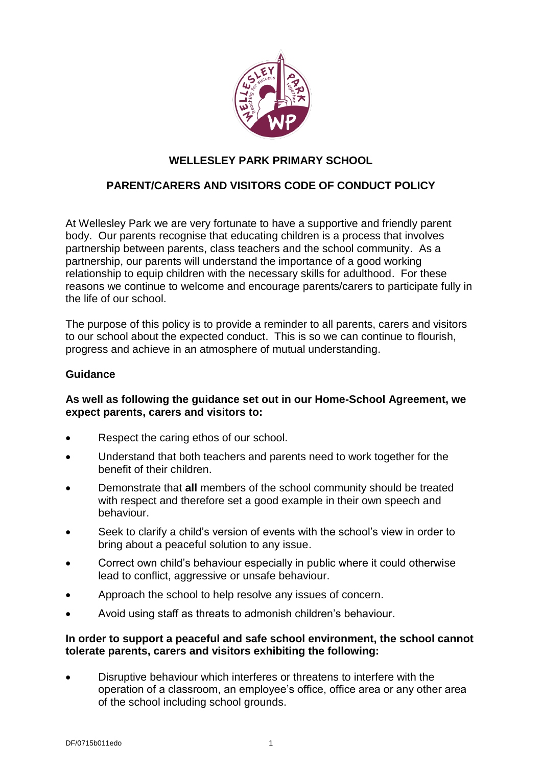

# **WELLESLEY PARK PRIMARY SCHOOL**

## **PARENT/CARERS AND VISITORS CODE OF CONDUCT POLICY**

At Wellesley Park we are very fortunate to have a supportive and friendly parent body. Our parents recognise that educating children is a process that involves partnership between parents, class teachers and the school community. As a partnership, our parents will understand the importance of a good working relationship to equip children with the necessary skills for adulthood. For these reasons we continue to welcome and encourage parents/carers to participate fully in the life of our school.

The purpose of this policy is to provide a reminder to all parents, carers and visitors to our school about the expected conduct. This is so we can continue to flourish, progress and achieve in an atmosphere of mutual understanding.

### **Guidance**

### **As well as following the guidance set out in our Home-School Agreement, we expect parents, carers and visitors to:**

- Respect the caring ethos of our school.
- Understand that both teachers and parents need to work together for the benefit of their children.
- Demonstrate that **all** members of the school community should be treated with respect and therefore set a good example in their own speech and behaviour.
- Seek to clarify a child's version of events with the school's view in order to bring about a peaceful solution to any issue.
- Correct own child's behaviour especially in public where it could otherwise lead to conflict, aggressive or unsafe behaviour.
- Approach the school to help resolve any issues of concern.
- Avoid using staff as threats to admonish children's behaviour.

#### **In order to support a peaceful and safe school environment, the school cannot tolerate parents, carers and visitors exhibiting the following:**

• Disruptive behaviour which interferes or threatens to interfere with the operation of a classroom, an employee's office, office area or any other area of the school including school grounds.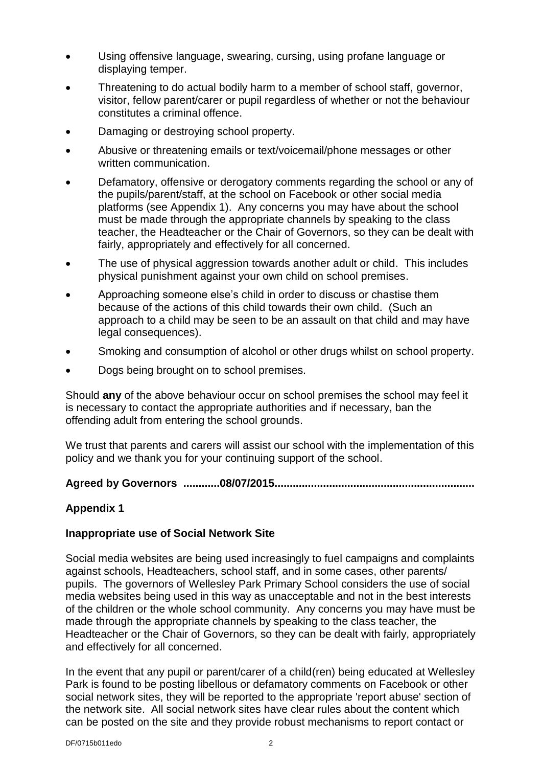- Using offensive language, swearing, cursing, using profane language or displaying temper.
- Threatening to do actual bodily harm to a member of school staff, governor, visitor, fellow parent/carer or pupil regardless of whether or not the behaviour constitutes a criminal offence.
- Damaging or destroying school property.
- Abusive or threatening emails or text/voicemail/phone messages or other written communication.
- Defamatory, offensive or derogatory comments regarding the school or any of the pupils/parent/staff, at the school on Facebook or other social media platforms (see Appendix 1). Any concerns you may have about the school must be made through the appropriate channels by speaking to the class teacher, the Headteacher or the Chair of Governors, so they can be dealt with fairly, appropriately and effectively for all concerned.
- The use of physical aggression towards another adult or child. This includes physical punishment against your own child on school premises.
- Approaching someone else's child in order to discuss or chastise them because of the actions of this child towards their own child. (Such an approach to a child may be seen to be an assault on that child and may have legal consequences).
- Smoking and consumption of alcohol or other drugs whilst on school property.
- Dogs being brought on to school premises.

Should **any** of the above behaviour occur on school premises the school may feel it is necessary to contact the appropriate authorities and if necessary, ban the offending adult from entering the school grounds.

We trust that parents and carers will assist our school with the implementation of this policy and we thank you for your continuing support of the school.

**Agreed by Governors ............08/07/2015..................................................................**

### **Appendix 1**

### **Inappropriate use of Social Network Site**

Social media websites are being used increasingly to fuel campaigns and complaints against schools, Headteachers, school staff, and in some cases, other parents/ pupils. The governors of Wellesley Park Primary School considers the use of social media websites being used in this way as unacceptable and not in the best interests of the children or the whole school community. Any concerns you may have must be made through the appropriate channels by speaking to the class teacher, the Headteacher or the Chair of Governors, so they can be dealt with fairly, appropriately and effectively for all concerned.

In the event that any pupil or parent/carer of a child(ren) being educated at Wellesley Park is found to be posting libellous or defamatory comments on Facebook or other social network sites, they will be reported to the appropriate 'report abuse' section of the network site. All social network sites have clear rules about the content which can be posted on the site and they provide robust mechanisms to report contact or